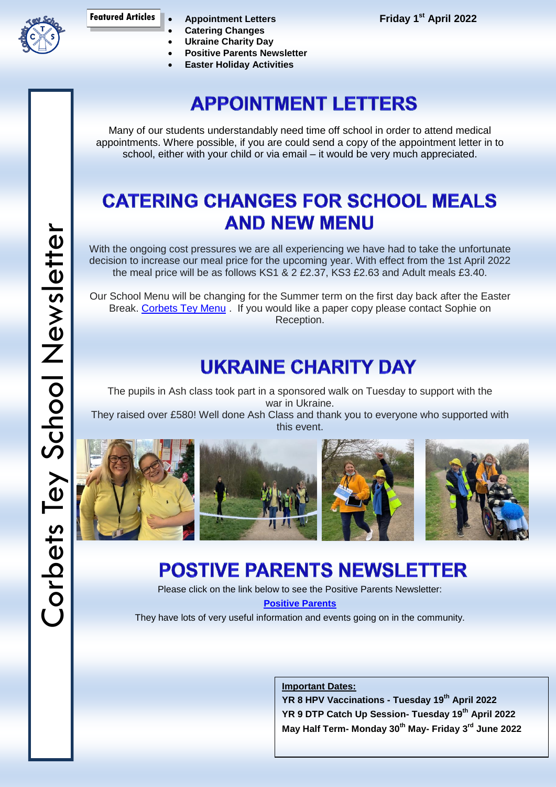

**Appointment Letters**

**Friday 1 st April 2022**

- **Catering Changes Ukraine Charity Day**
- **Positive Parents Newsletter**
- **Easter Holiday Activities**

## **APPOINTMENT LETTERS**

Many of our students understandably need time off school in order to attend medical appointments. Where possible, if you are could send a copy of the appointment letter in to school, either with your child or via email – it would be very much appreciated.

#### **CATERING CHANGES FOR SCHOOL MEALS AND NEW MENU**

With the ongoing cost pressures we are all experiencing we have had to take the unfortunate decision to increase our meal price for the upcoming year. With effect from the 1st April 2022 the meal price will be as follows KS1 & 2 £2.37, KS3 £2.63 and Adult meals £3.40.

Our School Menu will be changing for the Summer term on the first day back after the Easter Break. [Corbets Tey Menu](https://drive.google.com/file/d/18qdg-RdJmoLzE9reLkrjKP-AqP-fu2I1/view?usp=sharing). If you would like a paper copy please contact Sophie on Reception.

### **UKRAINE CHARITY DAY**

The pupils in Ash class took part in a sponsored walk on Tuesday to support with the war in Ukraine.

They raised over £580! Well done Ash Class and thank you to everyone who supported with this event.









## **POSTIVE PARENTS NEWSLETTER**

Please click on the link below to see the Positive Parents Newsletter: **[Positive](https://drive.google.com/file/d/1c-3jhBdiqDtTiodRxK-EkooyEbk-n2Rx/view?usp=sharing) Parents**

They have lots of very useful information and events going on in the community.

**Important Dates:**

**YR 8 HPV Vaccinations - Tuesday 19th April 2022 YR 9 DTP Catch Up Session- Tuesday 19th April 2022 May Half Term- Monday 30th May- Friday 3rd June 2022**